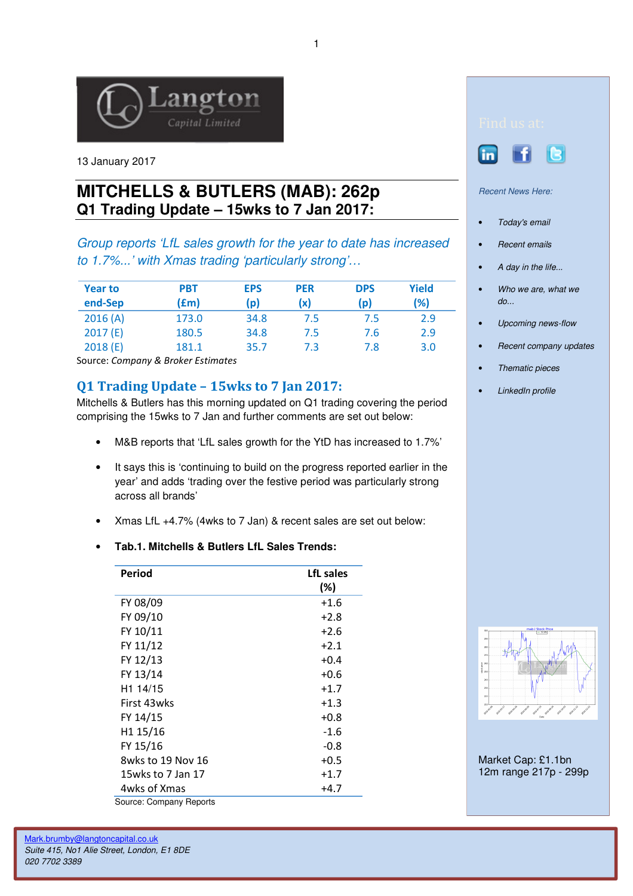

13 January 2017

# **MITCHELLS & BUTLERS (MAB): 262p Q1 Trading Update – 15wks to 7 Jan 2017:**

Group reports 'LfL sales growth for the year to date has increased to 1.7%...' with Xmas trading 'particularly strong'…

| <b>Year to</b><br>end-Sep | <b>PBT</b><br>(£m) | <b>EPS</b><br>(p | <b>PER</b><br>(x) | <b>DPS</b><br>(p) | Yield<br>(%) |
|---------------------------|--------------------|------------------|-------------------|-------------------|--------------|
| 2016(A)                   | 173.0              | 34.8             | 7.5               | 7.5               | 2.9          |
| 2017(E)                   | 180.5              | 34.8             | 7.5               | 7.6               | 2.9          |
| 2018(E)                   | 181.1              | 35.7             | 7.3               | 7.8               | 3.0          |

Source: Company & Broker Estimates

# Q1 Trading Update – 15wks to 7 Jan 2017:

Mitchells & Butlers has this morning updated on Q1 trading covering the period comprising the 15wks to 7 Jan and further comments are set out below:

- M&B reports that 'LfL sales growth for the YtD has increased to 1.7%'
- It says this is 'continuing to build on the progress reported earlier in the year' and adds 'trading over the festive period was particularly strong across all brands'
- Xmas LfL +4.7% (4wks to 7 Jan) & recent sales are set out below:

## • **Tab.1. Mitchells & Butlers LfL Sales Trends:**

| Period               | LfL sales<br>(%) |  |
|----------------------|------------------|--|
| FY 08/09             | $+1.6$           |  |
| FY 09/10             | $+2.8$           |  |
| FY 10/11             | $+2.6$           |  |
| FY 11/12             | $+2.1$           |  |
| FY 12/13             | $+0.4$           |  |
| FY 13/14             | $+0.6$           |  |
| H <sub>1</sub> 14/15 | $+1.7$           |  |
| First 43wks          | $+1.3$           |  |
| FY 14/15             | $+0.8$           |  |
| H1 15/16             | $-1.6$           |  |
| FY 15/16             | $-0.8$           |  |
| 8wks to 19 Nov 16    | $+0.5$           |  |
| 15wks to 7 Jan 17    | $+1.7$           |  |
| 4wks of Xmas         | $+4.7$           |  |

Source: Company Reports



Recent News Here:

- Today's email
- Recent emails
- A day in the life...
- Who we are, what we  $do...$
- Upcoming news-flow
- Recent company updates
- Thematic pieces
- LinkedIn profile



Market Cap: £1.1bn 12m range 217p - 299p